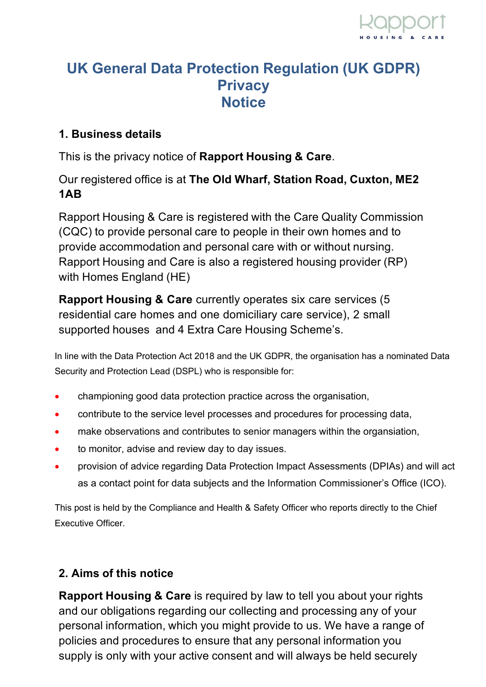# **UK General Data Protection Regulation (UK GDPR) Privacy Notice**

#### **1. Business details**

This is the privacy notice of **Rapport Housing & Care**.

### Our registered office is at **The Old Wharf, Station Road, Cuxton, ME2 1AB**

Rapport Housing & Care is registered with the Care Quality Commission (CQC) to provide personal care to people in their own homes and to provide accommodation and personal care with or without nursing. Rapport Housing and Care is also a registered housing provider (RP) with Homes England (HE)

**Rapport Housing & Care** currently operates six care services (5 residential care homes and one domiciliary care service), 2 small supported houses and 4 Extra Care Housing Scheme's.

In line with the Data Protection Act 2018 and the UK GDPR, the organisation has a nominated Data Security and Protection Lead (DSPL) who is responsible for:

- championing good data protection practice across the organisation,
- contribute to the service level processes and procedures for processing data,
- make observations and contributes to senior managers within the organsiation,
- to monitor, advise and review day to day issues.
- provision of advice regarding Data Protection Impact Assessments (DPIAs) and will act as a contact point for data subjects and the Information Commissioner's Office (ICO).

This post is held by the Compliance and Health & Safety Officer who reports directly to the Chief Executive Officer.

## **2. Aims of this notice**

**Rapport Housing & Care** is required by law to tell you about your rights and our obligations regarding our collecting and processing any of your personal information, which you might provide to us. We have a range of policies and procedures to ensure that any personal information you supply is only with your active consent and will always be held securely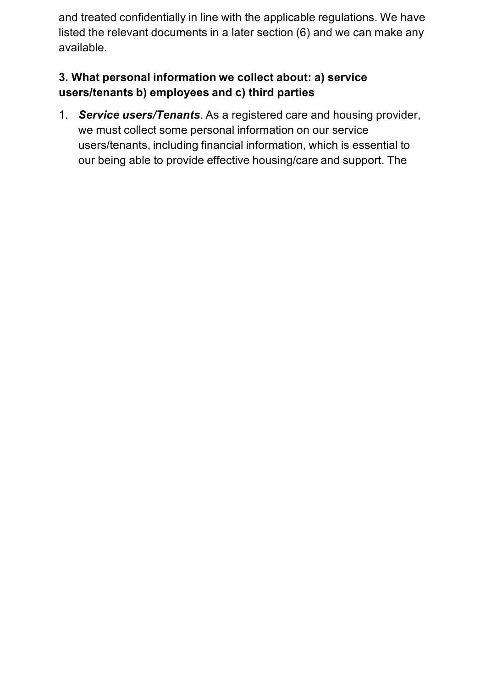and treated confidentially in line with the applicable regulations. We have listed the relevant documents in a later section (6) and we can make any available.

#### **3. What personal information we collect about: a) service users/tenants b) employees and c) third parties**

1. *Service users/Tenants*. As a registered care and housing provider, we must collect some personal information on our service users/tenants, including financial information, which is essential to our being able to provide effective housing/care and support. The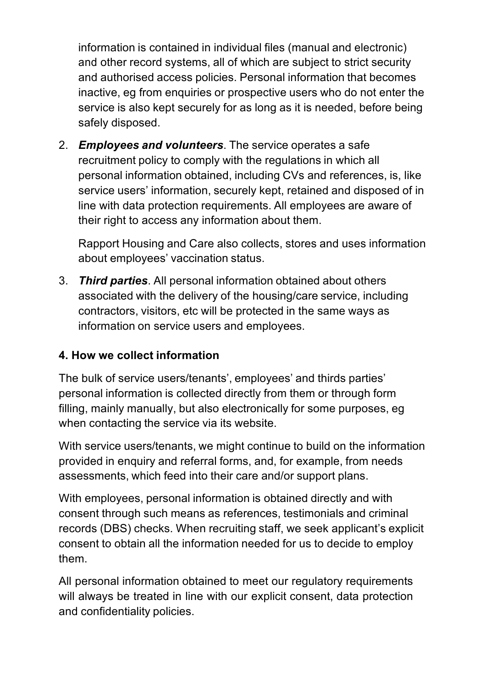information is contained in individual files (manual and electronic) and other record systems, all of which are subject to strict security and authorised access policies. Personal information that becomes inactive, eg from enquiries or prospective users who do not enter the service is also kept securely for as long as it is needed, before being safely disposed.

2. *Employees and volunteers*. The service operates a safe recruitment policy to comply with the regulations in which all personal information obtained, including CVs and references, is, like service users' information, securely kept, retained and disposed of in line with data protection requirements. All employees are aware of their right to access any information about them.

Rapport Housing and Care also collects, stores and uses information about employees' vaccination status.

3. *Third parties*. All personal information obtained about others associated with the delivery of the housing/care service, including contractors, visitors, etc will be protected in the same ways as information on service users and employees.

#### **4. How we collect information**

The bulk of service users/tenants', employees' and thirds parties' personal information is collected directly from them or through form filling, mainly manually, but also electronically for some purposes, eg when contacting the service via its website.

With service users/tenants, we might continue to build on the information provided in enquiry and referral forms, and, for example, from needs assessments, which feed into their care and/or support plans.

With employees, personal information is obtained directly and with consent through such means as references, testimonials and criminal records (DBS) checks. When recruiting staff, we seek applicant's explicit consent to obtain all the information needed for us to decide to employ them.

All personal information obtained to meet our regulatory requirements will always be treated in line with our explicit consent, data protection and confidentiality policies.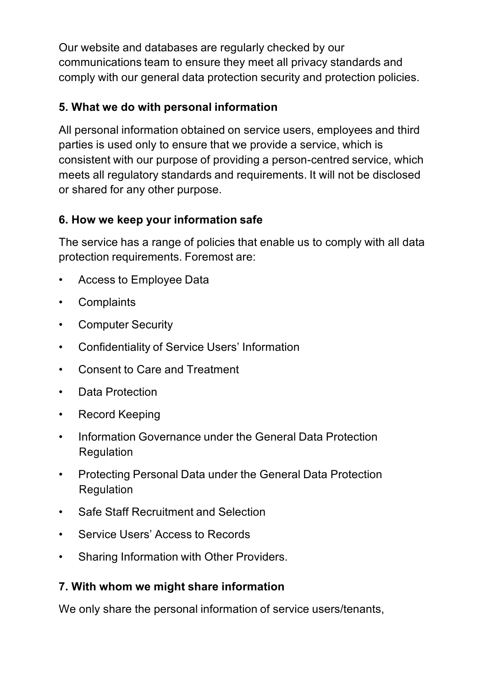Our website and databases are regularly checked by our communications team to ensure they meet all privacy standards and comply with our general data protection security and protection policies.

### **5. What we do with personal information**

All personal information obtained on service users, employees and third parties is used only to ensure that we provide a service, which is consistent with our purpose of providing a person-centred service, which meets all regulatory standards and requirements. It will not be disclosed or shared for any other purpose.

#### **6. How we keep your information safe**

The service has a range of policies that enable us to comply with all data protection requirements. Foremost are:

- Access to Employee Data
- Complaints
- Computer Security
- Confidentiality of Service Users' Information
- Consent to Care and Treatment
- Data Protection
- Record Keeping
- Information Governance under the General Data Protection Regulation
- Protecting Personal Data under the General Data Protection **Regulation**
- Safe Staff Recruitment and Selection
- Service Users' Access to Records
- Sharing Information with Other Providers.

## **7. With whom we might share information**

We only share the personal information of service users/tenants,